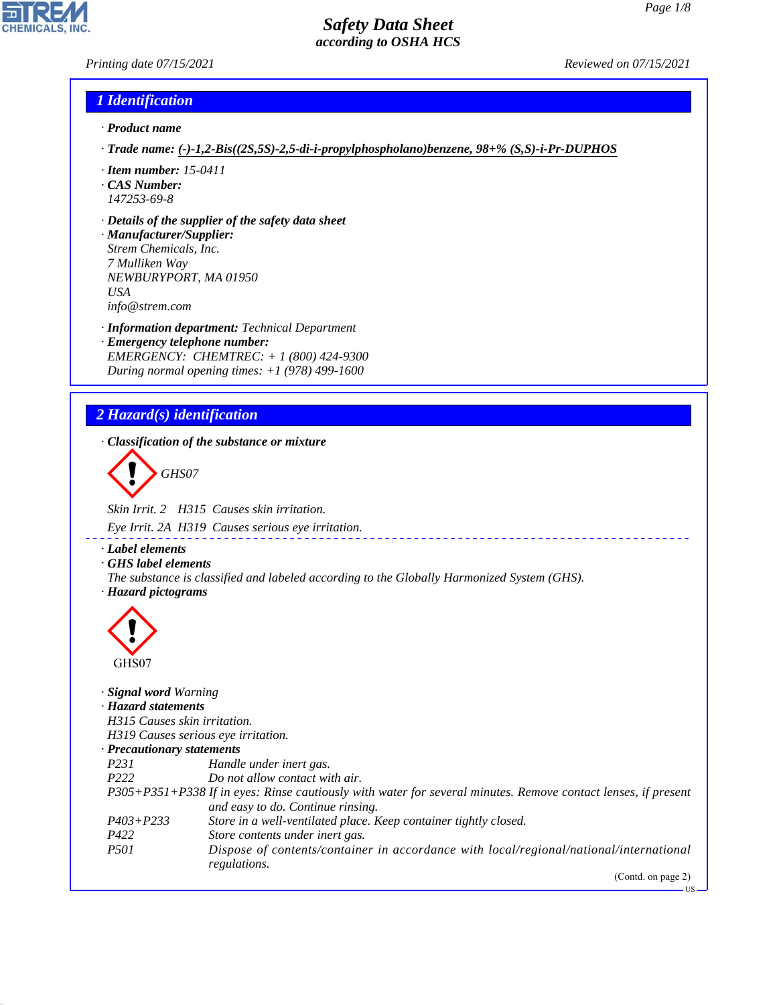US

# *Safety Data Sheet according to OSHA HCS*

### *Printing date 07/15/2021 Reviewed on 07/15/2021*

**CHEMICALS, INC** 

## *1 Identification*

- *· Product name*
- *· Trade name: (-)-1,2-Bis((2S,5S)-2,5-di-i-propylphospholano)benzene, 98+% (S,S)-i-Pr-DUPHOS*
- *· Item number: 15-0411*
- *· CAS Number: 147253-69-8*
- *· Details of the supplier of the safety data sheet*
- *· Manufacturer/Supplier: Strem Chemicals, Inc. 7 Mulliken Way NEWBURYPORT, MA 01950 USA info@strem.com*
- *· Information department: Technical Department · Emergency telephone number: EMERGENCY: CHEMTREC: + 1 (800) 424-9300 During normal opening times: +1 (978) 499-1600*

# *2 Hazard(s) identification*

*· Classification of the substance or mixture*

d~*GHS07*

*Skin Irrit. 2 H315 Causes skin irritation.*

*Eye Irrit. 2A H319 Causes serious eye irritation.*

*· Label elements*

*· GHS label elements*

*The substance is classified and labeled according to the Globally Harmonized System (GHS). · Hazard pictograms*



44.1.1

| <b>Signal word Warning</b>   |                                                                                                               |
|------------------------------|---------------------------------------------------------------------------------------------------------------|
| · Hazard statements          |                                                                                                               |
| H315 Causes skin irritation. |                                                                                                               |
|                              | H319 Causes serious eye irritation.                                                                           |
| · Precautionary statements   |                                                                                                               |
| <i>P231</i>                  | Handle under inert gas.                                                                                       |
| P <sub>222</sub>             | Do not allow contact with air.                                                                                |
|                              | P305+P351+P338 If in eyes: Rinse cautiously with water for several minutes. Remove contact lenses, if present |
|                              | and easy to do. Continue rinsing.                                                                             |
| $P403 + P233$                | Store in a well-ventilated place. Keep container tightly closed.                                              |
| P422                         | Store contents under inert gas.                                                                               |
| <i>P501</i>                  | Dispose of contents/container in accordance with local/regional/national/international                        |
|                              | regulations.                                                                                                  |
|                              | (Contd. on page 2)                                                                                            |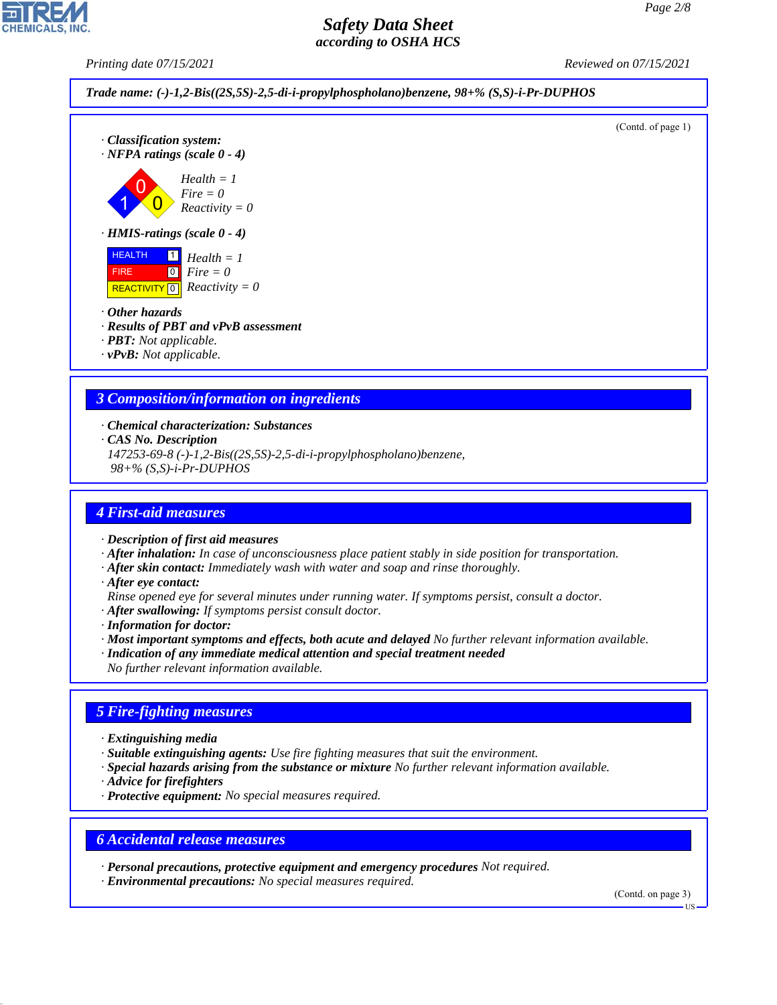*Printing date 07/15/2021 Reviewed on 07/15/2021*

*Trade name: (-)-1,2-Bis((2S,5S)-2,5-di-i-propylphospholano)benzene, 98+% (S,S)-i-Pr-DUPHOS*



*· PBT: Not applicable.*

*· vPvB: Not applicable.*

### *3 Composition/information on ingredients*

*· Chemical characterization: Substances*

*· CAS No. Description*

*147253-69-8 (-)-1,2-Bis((2S,5S)-2,5-di-i-propylphospholano)benzene, 98+% (S,S)-i-Pr-DUPHOS*

### *4 First-aid measures*

*· Description of first aid measures*

- *· After inhalation: In case of unconsciousness place patient stably in side position for transportation.*
- *· After skin contact: Immediately wash with water and soap and rinse thoroughly.*
- *· After eye contact:*
- *Rinse opened eye for several minutes under running water. If symptoms persist, consult a doctor.*
- *· After swallowing: If symptoms persist consult doctor.*

*· Information for doctor:*

- *· Most important symptoms and effects, both acute and delayed No further relevant information available.*
- *· Indication of any immediate medical attention and special treatment needed*
- *No further relevant information available.*

### *5 Fire-fighting measures*

*· Extinguishing media*

- *· Suitable extinguishing agents: Use fire fighting measures that suit the environment.*
- *· Special hazards arising from the substance or mixture No further relevant information available.*
- *· Advice for firefighters*

44.1.1

*· Protective equipment: No special measures required.*

### *6 Accidental release measures*

*· Personal precautions, protective equipment and emergency procedures Not required.*

*· Environmental precautions: No special measures required.*

(Contd. on page 3)

US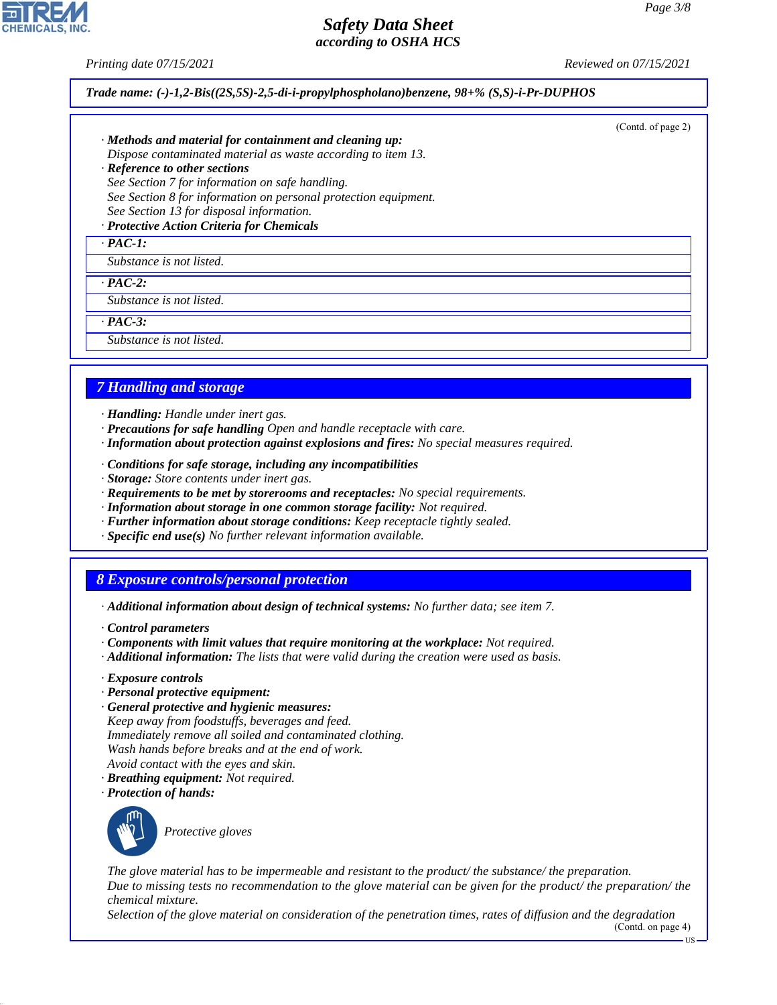(Contd. of page 2)

## *Safety Data Sheet according to OSHA HCS*

*Printing date 07/15/2021 Reviewed on 07/15/2021*

### *Trade name: (-)-1,2-Bis((2S,5S)-2,5-di-i-propylphospholano)benzene, 98+% (S,S)-i-Pr-DUPHOS*

*· Methods and material for containment and cleaning up: Dispose contaminated material as waste according to item 13.*

*· Reference to other sections See Section 7 for information on safe handling. See Section 8 for information on personal protection equipment. See Section 13 for disposal information.*

*· Protective Action Criteria for Chemicals*

### *· PAC-1:*

*Substance is not listed.*

*· PAC-2:*

*Substance is not listed.*

*· PAC-3:*

*Substance is not listed.*

### *7 Handling and storage*

- *· Handling: Handle under inert gas.*
- *· Precautions for safe handling Open and handle receptacle with care.*
- *· Information about protection against explosions and fires: No special measures required.*
- *· Conditions for safe storage, including any incompatibilities*
- *· Storage: Store contents under inert gas.*
- *· Requirements to be met by storerooms and receptacles: No special requirements.*
- *· Information about storage in one common storage facility: Not required.*
- *· Further information about storage conditions: Keep receptacle tightly sealed.*
- *· Specific end use(s) No further relevant information available.*

## *8 Exposure controls/personal protection*

- *· Additional information about design of technical systems: No further data; see item 7.*
- *· Control parameters*
- *· Components with limit values that require monitoring at the workplace: Not required.*
- *· Additional information: The lists that were valid during the creation were used as basis.*
- *· Exposure controls*
- *· Personal protective equipment:*
- *· General protective and hygienic measures: Keep away from foodstuffs, beverages and feed. Immediately remove all soiled and contaminated clothing. Wash hands before breaks and at the end of work. Avoid contact with the eyes and skin.*
- *· Breathing equipment: Not required.*
- *· Protection of hands:*



44.1.1

\_S*Protective gloves*

*The glove material has to be impermeable and resistant to the product/ the substance/ the preparation. Due to missing tests no recommendation to the glove material can be given for the product/ the preparation/ the chemical mixture.*

*Selection of the glove material on consideration of the penetration times, rates of diffusion and the degradation* (Contd. on page 4)

 $-11S$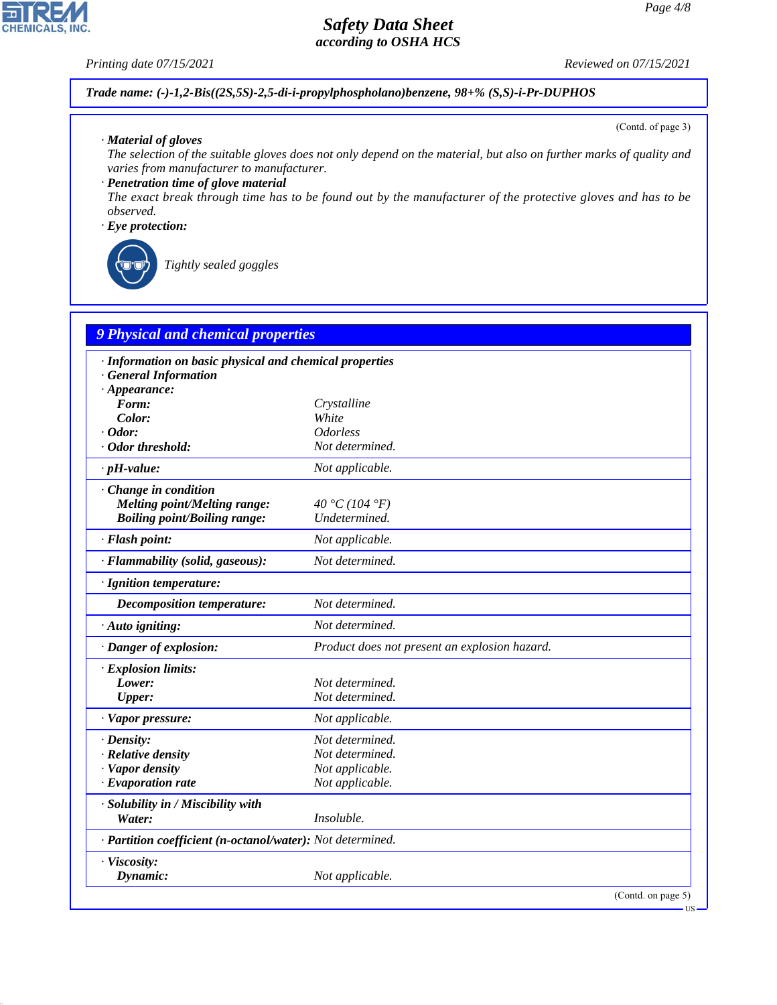*Printing date 07/15/2021 Reviewed on 07/15/2021*

*Trade name: (-)-1,2-Bis((2S,5S)-2,5-di-i-propylphospholano)benzene, 98+% (S,S)-i-Pr-DUPHOS*

*· Material of gloves*

*The selection of the suitable gloves does not only depend on the material, but also on further marks of quality and varies from manufacturer to manufacturer.*

*· Penetration time of glove material*

*The exact break through time has to be found out by the manufacturer of the protective gloves and has to be observed.*

*· Eye protection:*



\_R*Tightly sealed goggles*

| <b>9 Physical and chemical properties</b>                  |                                               |                       |  |
|------------------------------------------------------------|-----------------------------------------------|-----------------------|--|
| · Information on basic physical and chemical properties    |                                               |                       |  |
| <b>General Information</b>                                 |                                               |                       |  |
| $\cdot$ Appearance:                                        |                                               |                       |  |
| Form:                                                      | Crystalline                                   |                       |  |
| Color:                                                     | White                                         |                       |  |
| $\cdot$ Odor:                                              | <i><u><b>Odorless</b></u></i>                 |                       |  |
| · Odor threshold:                                          | Not determined.                               |                       |  |
| $\cdot$ pH-value:                                          | Not applicable.                               |                       |  |
| · Change in condition                                      |                                               |                       |  |
| <b>Melting point/Melting range:</b>                        | 40 °C (104 °F)                                |                       |  |
| <b>Boiling point/Boiling range:</b>                        | Undetermined.                                 |                       |  |
| · Flash point:                                             | Not applicable.                               |                       |  |
| · Flammability (solid, gaseous):                           | Not determined.                               |                       |  |
| · Ignition temperature:                                    |                                               |                       |  |
| <b>Decomposition temperature:</b>                          | Not determined.                               |                       |  |
| · Auto igniting:                                           | Not determined.                               |                       |  |
| · Danger of explosion:                                     | Product does not present an explosion hazard. |                       |  |
| · Explosion limits:                                        |                                               |                       |  |
| Lower:                                                     | Not determined.                               |                       |  |
| Upper:                                                     | Not determined.                               |                       |  |
| · Vapor pressure:                                          | Not applicable.                               |                       |  |
| $\cdot$ Density:                                           | Not determined.                               |                       |  |
| · Relative density                                         | Not determined.                               |                       |  |
| · Vapor density                                            | Not applicable.                               |                       |  |
| $\cdot$ Evaporation rate                                   | Not applicable.                               |                       |  |
| · Solubility in / Miscibility with                         |                                               |                       |  |
| Water:                                                     | Insoluble.                                    |                       |  |
| · Partition coefficient (n-octanol/water): Not determined. |                                               |                       |  |
| · Viscosity:                                               |                                               |                       |  |
| Dynamic:                                                   | Not applicable.                               |                       |  |
|                                                            |                                               | (Contd. on page $5$ ) |  |

(Contd. of page 3)



44.1.1

US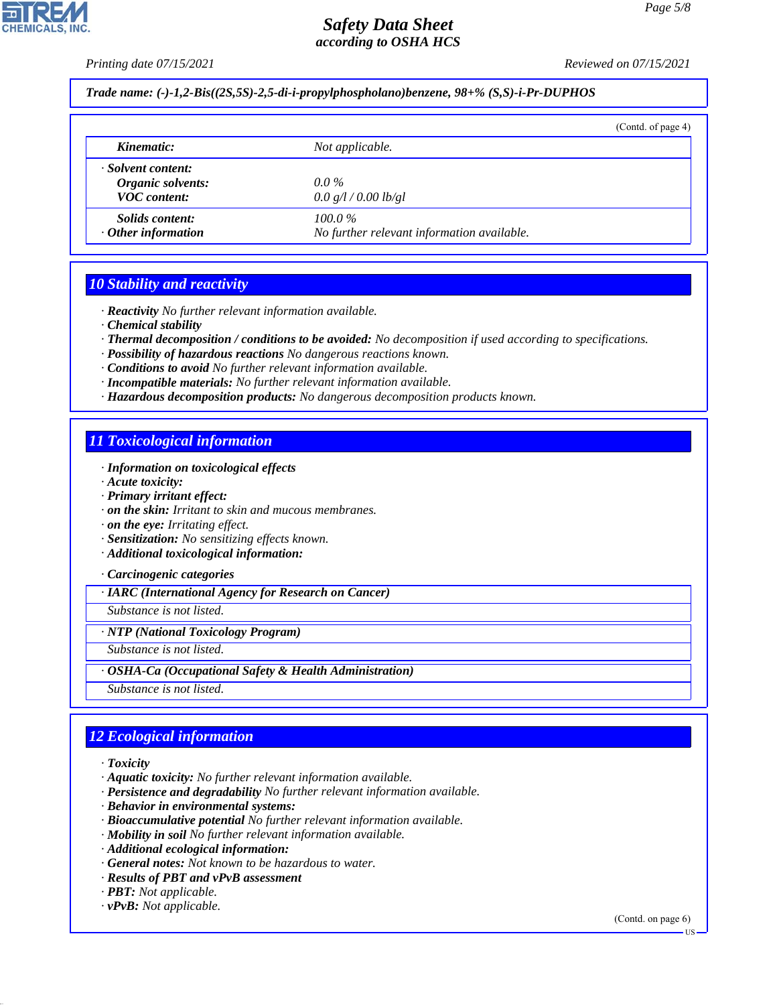*Printing date 07/15/2021 Reviewed on 07/15/2021*

*Trade name: (-)-1,2-Bis((2S,5S)-2,5-di-i-propylphospholano)benzene, 98+% (S,S)-i-Pr-DUPHOS*

|                                                                |                                                         | (Cond. of page 4) |
|----------------------------------------------------------------|---------------------------------------------------------|-------------------|
| Kinematic:                                                     | Not applicable.                                         |                   |
| · Solvent content:<br>Organic solvents:<br><b>VOC</b> content: | $0.0\%$<br>0.0 g/l / 0.00 lb/gl                         |                   |
| <i>Solids content:</i><br>$\cdot$ Other information            | $100.0\%$<br>No further relevant information available. |                   |

### *10 Stability and reactivity*

*· Reactivity No further relevant information available.*

*· Chemical stability*

*· Thermal decomposition / conditions to be avoided: No decomposition if used according to specifications.*

- *· Possibility of hazardous reactions No dangerous reactions known.*
- *· Conditions to avoid No further relevant information available.*
- *· Incompatible materials: No further relevant information available.*
- *· Hazardous decomposition products: No dangerous decomposition products known.*

### *11 Toxicological information*

- *· Information on toxicological effects*
- *· Acute toxicity:*
- *· Primary irritant effect:*
- *· on the skin: Irritant to skin and mucous membranes.*

*· on the eye: Irritating effect.*

- *· Sensitization: No sensitizing effects known.*
- *· Additional toxicological information:*

*· Carcinogenic categories*

*· IARC (International Agency for Research on Cancer)*

*Substance is not listed.*

*· NTP (National Toxicology Program)*

*Substance is not listed.*

*· OSHA-Ca (Occupational Safety & Health Administration)*

*Substance is not listed.*

# *12 Ecological information*

*· Toxicity*

44.1.1

- *· Aquatic toxicity: No further relevant information available.*
- *· Persistence and degradability No further relevant information available.*
- *· Behavior in environmental systems:*
- *· Bioaccumulative potential No further relevant information available.*
- *· Mobility in soil No further relevant information available.*
- *· Additional ecological information:*
- *· General notes: Not known to be hazardous to water.*
- *· Results of PBT and vPvB assessment*
- *· PBT: Not applicable.*
- *· vPvB: Not applicable.*

(Contd. on page 6)

US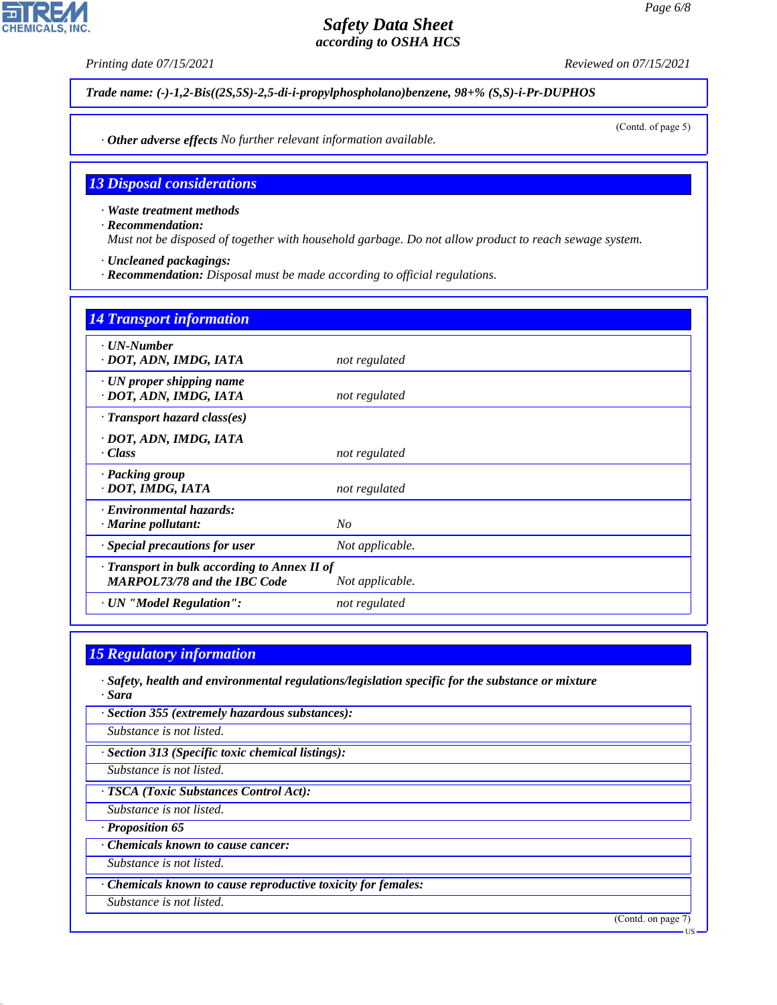**CHEMICALS** 

*Printing date 07/15/2021 Reviewed on 07/15/2021*

*Trade name: (-)-1,2-Bis((2S,5S)-2,5-di-i-propylphospholano)benzene, 98+% (S,S)-i-Pr-DUPHOS*

(Contd. of page 5)

*· Other adverse effects No further relevant information available.*

### *13 Disposal considerations*

*· Waste treatment methods*

*· Recommendation:*

*Must not be disposed of together with household garbage. Do not allow product to reach sewage system.*

- *· Uncleaned packagings:*
- *· Recommendation: Disposal must be made according to official regulations.*

# *14 Transport information · UN-Number · DOT, ADN, IMDG, IATA not regulated · UN proper shipping name · DOT, ADN, IMDG, IATA not regulated · Transport hazard class(es) · DOT, ADN, IMDG, IATA · Class not regulated · Packing group · DOT, IMDG, IATA not regulated · Environmental hazards: · Marine pollutant: No · Special precautions for user Not applicable. · Transport in bulk according to Annex II of MARPOL73/78 and the IBC Code Not applicable. · UN "Model Regulation": not regulated*

### *15 Regulatory information*

- *· Safety, health and environmental regulations/legislation specific for the substance or mixture · Sara*
- *· Section 355 (extremely hazardous substances):*

*Substance is not listed.*

*· Section 313 (Specific toxic chemical listings):*

*Substance is not listed.*

*· TSCA (Toxic Substances Control Act):*

*Substance is not listed.*

*· Proposition 65*

44.1.1

*· Chemicals known to cause cancer:*

*Substance is not listed.*

*· Chemicals known to cause reproductive toxicity for females:*

*Substance is not listed.*

(Contd. on page 7)

US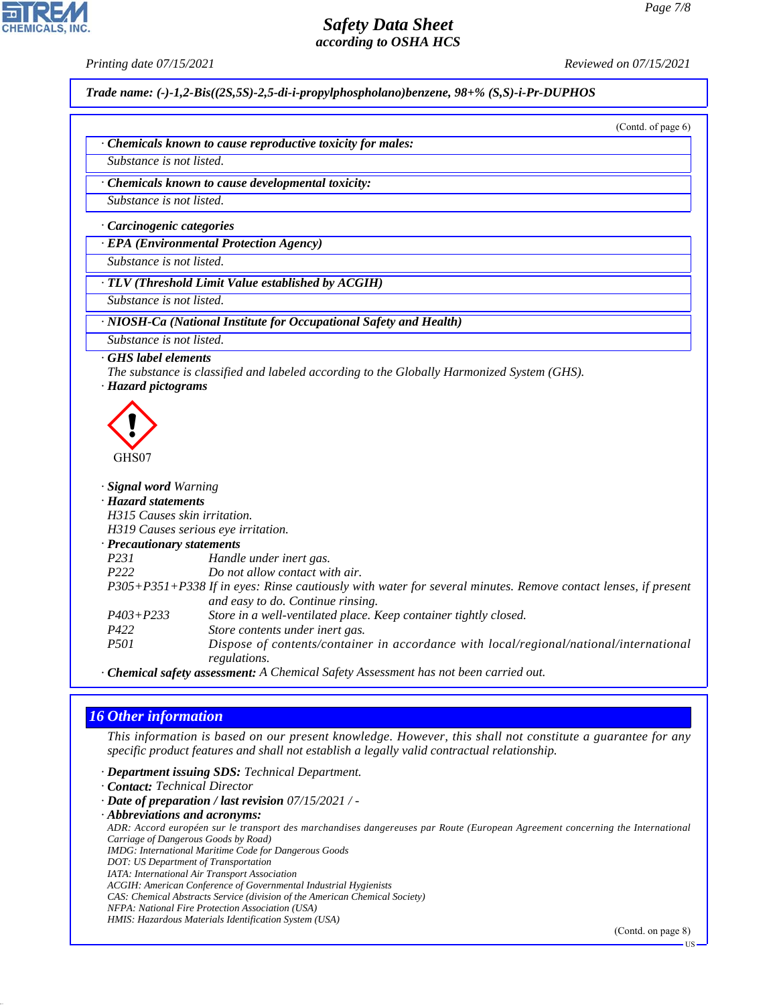**CHEMICALS** 

*Printing date 07/15/2021 Reviewed on 07/15/2021*

*Trade name: (-)-1,2-Bis((2S,5S)-2,5-di-i-propylphospholano)benzene, 98+% (S,S)-i-Pr-DUPHOS*

(Contd. of page 6)

*· Chemicals known to cause reproductive toxicity for males:*

*Substance is not listed.*

*· Chemicals known to cause developmental toxicity:*

*Substance is not listed.*

*· Carcinogenic categories*

*· EPA (Environmental Protection Agency)*

*Substance is not listed.*

*· TLV (Threshold Limit Value established by ACGIH)*

*Substance is not listed.*

*· NIOSH-Ca (National Institute for Occupational Safety and Health)*

*Substance is not listed.*

### *· GHS label elements*

- *The substance is classified and labeled according to the Globally Harmonized System (GHS).*
- *· Hazard pictograms*



| · Signal word Warning               |                                                                                                               |
|-------------------------------------|---------------------------------------------------------------------------------------------------------------|
| · Hazard statements                 |                                                                                                               |
| H315 Causes skin irritation.        |                                                                                                               |
| H319 Causes serious eye irritation. |                                                                                                               |
| $\cdot$ Precautionary statements    |                                                                                                               |
| <i>P231</i>                         | Handle under inert gas.                                                                                       |
| P <sub>222</sub>                    | Do not allow contact with air.                                                                                |
|                                     | P305+P351+P338 If in eyes: Rinse cautiously with water for several minutes. Remove contact lenses, if present |
|                                     | and easy to do. Continue rinsing.                                                                             |
| $P403 + P233$                       | Store in a well-ventilated place. Keep container tightly closed.                                              |
| P422                                | Store contents under inert gas.                                                                               |
| <i>P501</i>                         | Dispose of contents/container in accordance with local/regional/national/international<br>regulations.        |
|                                     |                                                                                                               |

*· Chemical safety assessment: A Chemical Safety Assessment has not been carried out.*

### *16 Other information*

44.1.1

*This information is based on our present knowledge. However, this shall not constitute a guarantee for any specific product features and shall not establish a legally valid contractual relationship.*

*· Department issuing SDS: Technical Department.*

*· Contact: Technical Director*

*· Date of preparation / last revision 07/15/2021 / -*

*· Abbreviations and acronyms: ADR: Accord européen sur le transport des marchandises dangereuses par Route (European Agreement concerning the International*

*Carriage of Dangerous Goods by Road)*

*IMDG: International Maritime Code for Dangerous Goods*

*DOT: US Department of Transportation*

*IATA: International Air Transport Association ACGIH: American Conference of Governmental Industrial Hygienists*

- *CAS: Chemical Abstracts Service (division of the American Chemical Society)*
- *NFPA: National Fire Protection Association (USA)*

*HMIS: Hazardous Materials Identification System (USA)*

(Contd. on page 8)

US